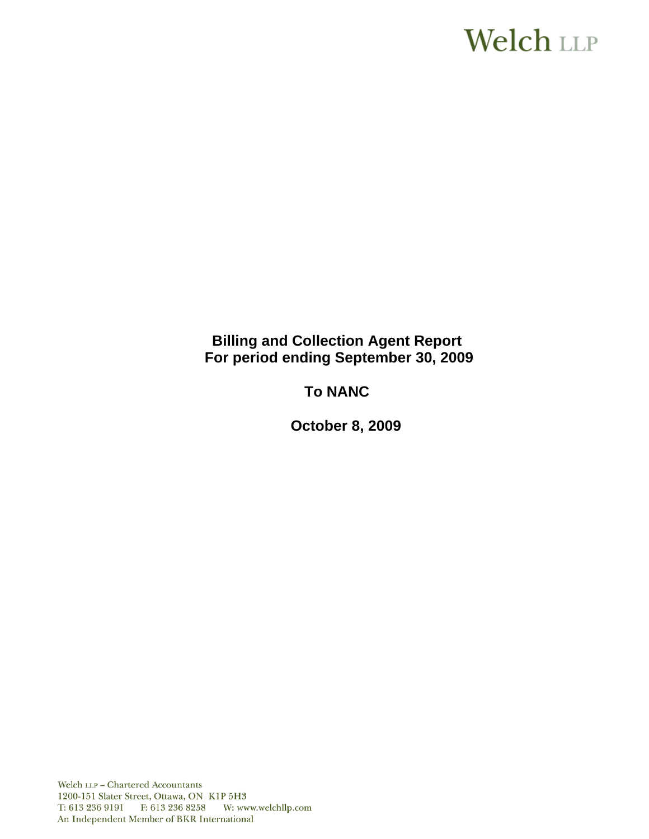# **Welch LLP**

# **Billing and Collection Agent Report For period ending September 30, 2009**

# **To NANC**

 **October 8, 2009**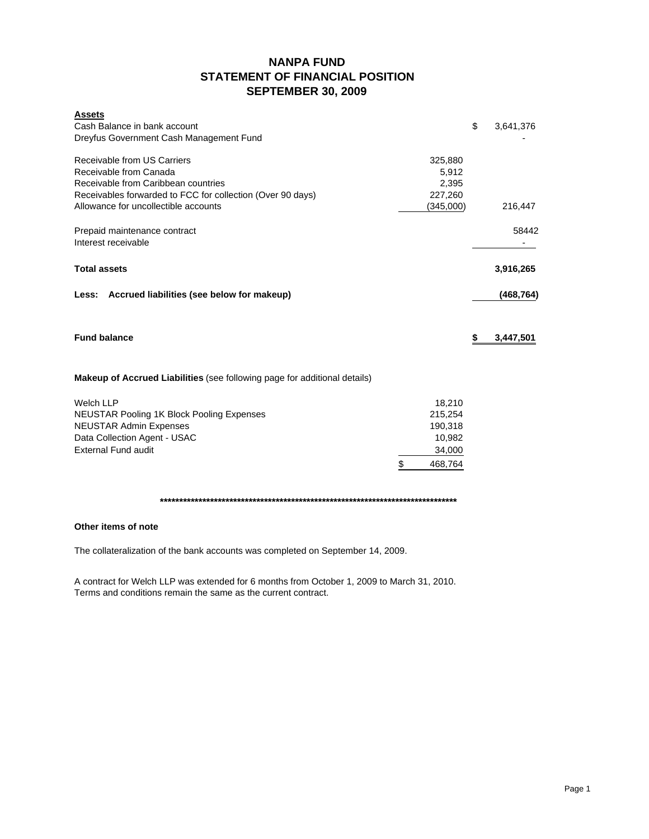# **NANPA FUND STATEMENT OF FINANCIAL POSITION SEPTEMBER 30, 2009**

| <b>Assets</b><br>Cash Balance in bank account<br>Dreyfus Government Cash Management Fund                                                                            |                                                                   | \$<br>3,641,376 |
|---------------------------------------------------------------------------------------------------------------------------------------------------------------------|-------------------------------------------------------------------|-----------------|
| Receivable from US Carriers<br>Receivable from Canada<br>Receivable from Caribbean countries<br>Receivables forwarded to FCC for collection (Over 90 days)          | 325,880<br>5,912<br>2,395<br>227,260                              |                 |
| Allowance for uncollectible accounts                                                                                                                                | (345,000)                                                         | 216,447         |
| Prepaid maintenance contract<br>Interest receivable                                                                                                                 |                                                                   | 58442<br>۰.     |
| <b>Total assets</b>                                                                                                                                                 |                                                                   | 3,916,265       |
| Accrued liabilities (see below for makeup)<br>Less:                                                                                                                 |                                                                   | (468, 764)      |
| <b>Fund balance</b>                                                                                                                                                 |                                                                   | \$<br>3,447,501 |
| Makeup of Accrued Liabilities (see following page for additional details)                                                                                           |                                                                   |                 |
| <b>Welch LLP</b><br><b>NEUSTAR Pooling 1K Block Pooling Expenses</b><br><b>NEUSTAR Admin Expenses</b><br>Data Collection Agent - USAC<br><b>External Fund audit</b> | 18,210<br>215,254<br>190,318<br>10,982<br>34,000<br>\$<br>468,764 |                 |
|                                                                                                                                                                     |                                                                   |                 |

### **Other items of note**

The collateralization of the bank accounts was completed on September 14, 2009.

A contract for Welch LLP was extended for 6 months from October 1, 2009 to March 31, 2010. Terms and conditions remain the same as the current contract.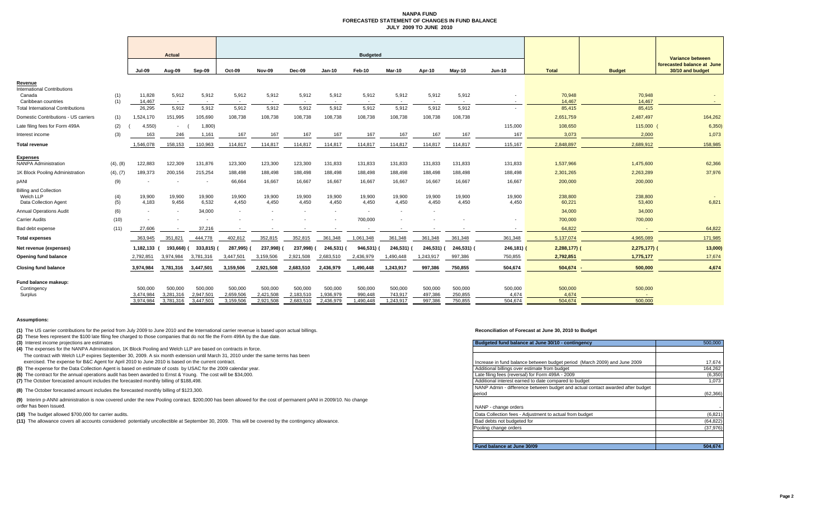#### **NANPA FUND FORECASTED STATEMENT OF CHANGES IN FUND BALANCEJULY 2009 TO JUNE 2010**

|                                                |            |                  | <b>Actual</b>   |                 | <b>Budgeted</b> |                 |                 |                 |                 |                 |                 |                 |               |                  |                  | Variance between                               |
|------------------------------------------------|------------|------------------|-----------------|-----------------|-----------------|-----------------|-----------------|-----------------|-----------------|-----------------|-----------------|-----------------|---------------|------------------|------------------|------------------------------------------------|
|                                                |            | <b>Jul-09</b>    | Aug-09          | Sep-09          | Oct-09          | Nov-09          | Dec-09          | $Jan-10$        | Feb-10          | Mar-10          | Apr-10          | $May-10$        | <b>Jun-10</b> | <b>Total</b>     | <b>Budget</b>    | forecasted balance at June<br>30/10 and budget |
| Revenue                                        |            |                  |                 |                 |                 |                 |                 |                 |                 |                 |                 |                 |               |                  |                  |                                                |
| <b>International Contributions</b>             |            |                  |                 |                 |                 |                 |                 |                 |                 |                 |                 |                 |               |                  |                  |                                                |
| Canada<br>Caribbean countries                  | (1)<br>(1) | 11,828<br>14,467 | 5,912<br>$\sim$ | 5,912<br>$\sim$ | 5,912<br>$\sim$ | 5,912<br>$\sim$ | 5,912<br>$\sim$ | 5,912<br>$\sim$ | 5,912<br>$\sim$ | 5,912<br>$\sim$ | 5,912<br>$\sim$ | 5,912<br>$\sim$ | $\sim$        | 70,948<br>14,467 | 70,948<br>14,467 |                                                |
| <b>Total International Contributions</b>       |            | 26,295           | 5,912           | 5,912           | 5,912           | 5,912           | 5,912           | 5,912           | 5,912           | 5,912           | 5,912           | 5,912           |               | 85,415           | 85,415           |                                                |
| Domestic Contributions - US carriers           | (1)        | 1,524,170        | 151,995         | 105,690         | 108,738         | 108,738         | 108,738         | 108,738         | 108,738         | 108,738         | 108,738         | 108,738         |               | 2,651,759        | 2,487,497        | 164,262                                        |
| Late filing fees for Form 499A                 | (2)        | 4,550            | $\sim$          | 1,800)          |                 |                 |                 |                 |                 |                 |                 |                 | 115,000       | 108,650          | 115,000          | 6,350)                                         |
| Interest income                                | (3)        | 163              | 246             | 1,161           | 167             | 167             | 167             | 167             | 167             | 167             | 167             | 167             | 167           | 3,073            | 2,000            | 1,073                                          |
| Total revenue                                  |            | 1,546,078        | 158,153         | 110,963         | 114,817         | 114,817         | 114,817         | 114,817         | 114,817         | 114,817         | 114,817         | 114,817         | 115,167       | 2,848,897        | 2,689,912        | 158,985                                        |
|                                                |            |                  |                 |                 |                 |                 |                 |                 |                 |                 |                 |                 |               |                  |                  |                                                |
| <b>Expenses</b><br><b>NANPA Administration</b> | (4), (8)   | 122,883          | 122,309         | 131,876         | 123,300         | 123,300         | 123,300         | 131,833         | 131,833         | 131,833         | 131,833         | 131,833         | 131,833       | 1,537,966        | 1,475,600        | 62,366                                         |
| 1K Block Pooling Administration                | (4), (7)   | 189,373          | 200,156         | 215,254         | 188,498         | 188,498         | 188,498         | 188,498         | 188,498         | 188,498         | 188,498         | 188,498         | 188,498       | 2,301,265        | 2,263,289        | 37,976                                         |
|                                                |            |                  |                 |                 |                 |                 |                 |                 |                 |                 |                 |                 |               |                  |                  |                                                |
| pANI                                           | (9)        |                  |                 | $\sim$          | 66,664          | 16,667          | 16,667          | 16,667          | 16.667          | 16,667          | 16,667          | 16,667          | 16,667        | 200,000          | 200,000          |                                                |
| <b>Billing and Collection</b><br>Welch LLP     | (4)        | 19,900           | 19,900          | 19,900          | 19,900          | 19,900          | 19,900          | 19,900          | 19,900          | 19,900          | 19,900          | 19,900          | 19,900        | 238,800          | 238,800          |                                                |
| Data Collection Agent                          | (5)        | 4,183            | 9,456           | 6,532           | 4,450           | 4,450           | 4,450           | 4,450           | 4,450           | 4,450           | 4,450           | 4,450           | 4,450         | 60,221           | 53,400           | 6,821                                          |
| <b>Annual Operations Audit</b>                 | (6)        | $\sim$           |                 | 34,000          | $\sim$          | $\overline{a}$  | $\sim$          | $\sim$          | $\sim$          | $\sim$          | $\sim$          |                 |               | 34,000           | 34,000           |                                                |
| <b>Carrier Audits</b>                          | (10)       |                  |                 |                 |                 |                 |                 |                 | 700,000         |                 |                 |                 |               | 700,000          | 700,000          |                                                |
| Bad debt expense                               | (11)       | 27,606           |                 | 37,216          |                 |                 |                 |                 |                 |                 |                 |                 |               | 64,822           |                  | 64,822                                         |
| <b>Total expenses</b>                          |            | 363,945          | 351,821         | 444,778         | 402,812         | 352,815         | 352,815         | 361,348         | 1,061,348       | 361,348         | 361,348         | 361,348         | 361,348       | 5,137,074        | 4,965,089        | 171,985                                        |
| Net revenue (expenses)                         |            | 1,182,133        | 193,668)        | 333,815) (      | 287,995)        | 237,998)        | 237,998)        | 246,531) (      | 946,531)        | 246,531)        | 246,531) (      | 246,531)        | 246, 181      | $2,288,177$ ) (  | 2,275,177)       | 13,000)                                        |
| Opening fund balance                           |            | 2,792,851        | 3,974,984       | 3,781,316       | 3,447,501       | 3,159,506       | 2,921,508       | 2,683,510       | 2,436,979       | 1,490,448       | 1,243,917       | 997,386         | 750,855       | 2,792,851        | 1,775,177        | 17,674                                         |
| <b>Closing fund balance</b>                    |            | 3,974,984        | 3,781,316       | 3.447.501       | 3,159,506       | 2,921,508       | 2,683,510       | 2.436.979       | 1,490,448       | 1,243,917       | 997.386         | 750.855         | 504.674       | $504,674$ -      | 500,000          | 4.674                                          |
| Fund balance makeup:                           |            |                  |                 |                 |                 |                 |                 |                 |                 |                 |                 |                 |               |                  |                  |                                                |
| Contingency                                    |            | 500,000          | 500.000         | 500,000         | 500,000         | 500,000         | 500,000         | 500,000         | 500,000         | 500,000         | 500,000         | 500,000         | 500,000       | 500,000          | 500,000          |                                                |
| Surplus                                        |            | 3,474,984        | 3,281,316       | 2,947,501       | 2,659,506       | 2,421,508       | 2,183,510       | 1,936,979       | 990.448         | 743,917         | 497,386         | 250,855         | 4.674         | 4,674            |                  |                                                |
|                                                |            | 3.974.984        | 3.781.316       | 3.447.501       | 3,159,506       | 2.921.508       | 2.683.510       | 2.436.979       | 1.490.448       | 1.243.917       | 997.386         | 750.855         | 504.674       | 504.674          | 500.000          |                                                |

#### **Assumptions:**

**(1)** The US carrier contributions for the period from July 2009 to June 2010 and the International carrier revenue is based upon actual billings.

**(2)** These fees represent the \$100 late filing fee charged to those companies that do not file the Form 499A by the due date.

**(3)** Interest income projections are estimates

**(4)** The expenses for the NANPA Administration, 1K Block Pooling and Welch LLP are based on contracts in force. The contract with Welch LLP expires September 30, 2009. A six month extension until March 31, 2010 under the same terms has been

exercised. The expense for B&C Agent for April 2010 to June 2010 is based on the current contract.

**(5)** The expense for the Data Collection Agent is based on estimate of costs by USAC for the 2009 calendar year.

**(6)** The contract for the annual operations audit has been awarded to Ernst & Young. The cost will be \$34,000.

**(7)** The October forecasted amount includes the forecasted monthly billing of \$188,498.

**(8)** The October forecasted amount includes the forecasted monthly billing of \$123,300.

**(9)** Interim p-ANNI administration is now covered under the new Pooling contract. \$200,000 has been allowed for the cost of permanent pANI in 2009/10. No change order has been issued.

**(10)** The budget allowed \$700,000 for carrier audits.

**(11)** The allowance covers all accounts considered potentially uncollectible at September 30, 2009. This will be covered by the contingency allowance.

#### **Reconciliation of Forecast at June 30, 2010 to Budget**

| Budgeted fund balance at June 30/10 - contingency                              | 500,000   |
|--------------------------------------------------------------------------------|-----------|
|                                                                                |           |
|                                                                                |           |
| Increase in fund balance between budget period (March 2009) and June 2009      | 17,674    |
| Additional billings over estimate from budget                                  | 164,262   |
| Late filing fees (reversal) for Form 499A - 2009                               | (6, 350)  |
| Additional interest earned to date compared to budget                          | 1.073     |
| NANP Admin - difference between budget and actual contact awarded after budget |           |
| period                                                                         | (62, 366) |
|                                                                                |           |
| NANP - change orders                                                           |           |
| Data Collection fees - Adjustment to actual from budget                        | (6, 821)  |
| Bad debts not budgeted for                                                     | (64, 822) |
| Pooling change orders                                                          | (37, 976) |
|                                                                                |           |
|                                                                                |           |
| Fund balance at June 30/09                                                     | 504.674   |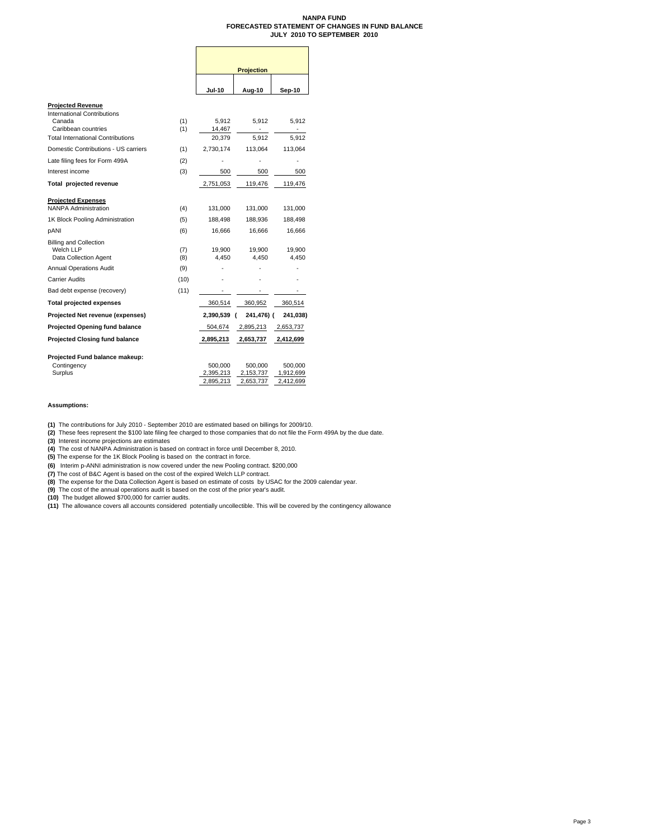#### **NANPA FUND FORECASTED STATEMENT OF CHANGES IN FUND BALANCE JULY 2010 TO SEPTEMBER 2010**

|                                                                                                                                                                              |                   | Projection                             |                                   |                                   |  |  |  |  |
|------------------------------------------------------------------------------------------------------------------------------------------------------------------------------|-------------------|----------------------------------------|-----------------------------------|-----------------------------------|--|--|--|--|
|                                                                                                                                                                              |                   | <b>Jul-10</b>                          | Aug-10                            | Sep-10                            |  |  |  |  |
| <b>Projected Revenue</b><br>International Contributions<br>Canada<br>Caribbean countries<br><b>Total International Contributions</b><br>Domestic Contributions - US carriers | (1)<br>(1)<br>(1) | 5,912<br>14,467<br>20,379<br>2,730,174 | 5,912<br>5,912<br>113,064         | 5,912<br>5,912<br>113,064         |  |  |  |  |
| Late filing fees for Form 499A                                                                                                                                               | (2)               |                                        |                                   |                                   |  |  |  |  |
| Interest income                                                                                                                                                              | (3)               | 500                                    | 500                               | 500                               |  |  |  |  |
| Total projected revenue                                                                                                                                                      |                   | 2,751,053                              | 119,476                           | 119,476                           |  |  |  |  |
| <b>Projected Expenses</b><br><b>NANPA Administration</b>                                                                                                                     | (4)               | 131,000                                | 131,000                           | 131,000                           |  |  |  |  |
| 1K Block Pooling Administration                                                                                                                                              | (5)               | 188,498                                | 188,936                           | 188,498                           |  |  |  |  |
| pANI                                                                                                                                                                         | (6)               | 16,666                                 | 16,666                            | 16,666                            |  |  |  |  |
| <b>Billing and Collection</b><br>Welch LLP<br>Data Collection Agent<br><b>Annual Operations Audit</b>                                                                        | (7)<br>(8)<br>(9) | 19,900<br>4.450                        | 19,900<br>4.450                   | 19,900<br>4.450                   |  |  |  |  |
| <b>Carrier Audits</b>                                                                                                                                                        | (10)              |                                        |                                   |                                   |  |  |  |  |
| Bad debt expense (recovery)                                                                                                                                                  | (11)              |                                        |                                   |                                   |  |  |  |  |
| <b>Total projected expenses</b>                                                                                                                                              |                   | 360,514                                | 360,952                           | 360,514                           |  |  |  |  |
| Projected Net revenue (expenses)                                                                                                                                             |                   | 2,390,539                              | 241,476) (                        | 241,038)                          |  |  |  |  |
| <b>Projected Opening fund balance</b>                                                                                                                                        |                   | 504,674                                | 2,895,213                         | 2,653,737                         |  |  |  |  |
| <b>Projected Closing fund balance</b>                                                                                                                                        |                   | 2,895,213                              | 2,653,737                         | 2,412,699                         |  |  |  |  |
| Projected Fund balance makeup:<br>Contingency<br>Surplus                                                                                                                     |                   | 500,000<br>2,395,213<br>2,895,213      | 500,000<br>2,153,737<br>2,653,737 | 500,000<br>1,912,699<br>2,412,699 |  |  |  |  |

#### **Assumptions:**

**(1)** The contributions for July 2010 - September 2010 are estimated based on billings for 2009/10.

**(2)** These fees represent the \$100 late filing fee charged to those companies that do not file the Form 499A by the due date.

**(3)** Interest income projections are estimates<br>**(4)** The cost of NANPA Administration is based on contract in force until December 8, 2010.<br>**(5)** The expense for the 1K Block Pooling is based on the contract in force.

**(6)** Interim p-ANNI administration is now covered under the new Pooling contract. \$200,000<br>**(7)** The cost of B&C Agent is based on the cost of the expired Welch LLP contract.

**(8)** The expense for the Data Collection Agent is based on estimate of costs by USAC for the 2009 calendar year.<br>**(9)** The cost of the annual operations audit is based on the cost of the prior year's audit.<br>**(10)** The

**(11)** The allowance covers all accounts considered potentially uncollectible. This will be covered by the contingency allowance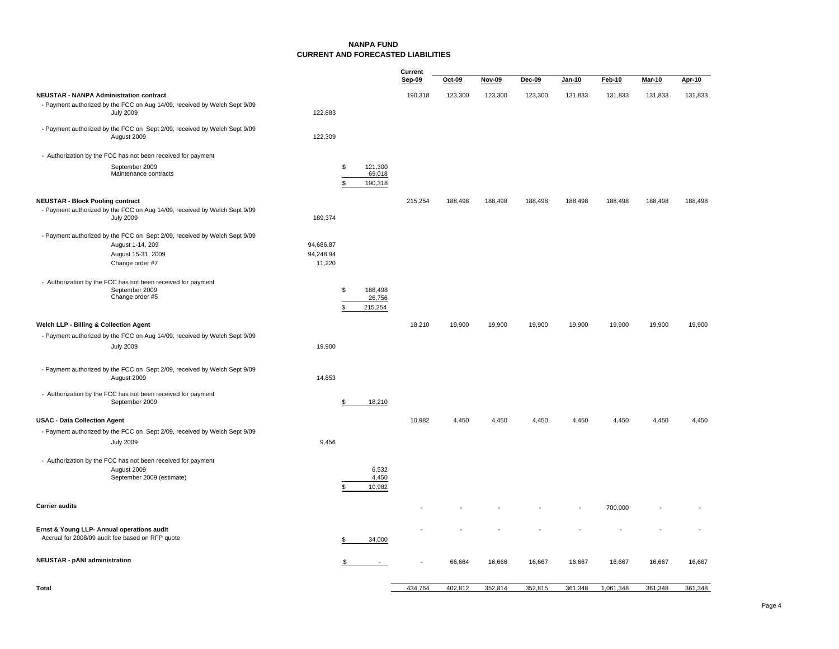#### **NANPA FUND CURRENT AND FORECASTED LIABILITIES**

|                                                |                                                                                                                     |                        |          |                              | Current<br>Sep-09 | $Oct-09$ | Nov-09  | Dec-09  | Jan-10  | Feb-10    | <b>Mar-10</b> | Apr-10  |
|------------------------------------------------|---------------------------------------------------------------------------------------------------------------------|------------------------|----------|------------------------------|-------------------|----------|---------|---------|---------|-----------|---------------|---------|
| <b>NEUSTAR - NANPA Administration contract</b> |                                                                                                                     |                        |          |                              | 190,318           | 123,300  | 123,300 | 123,300 | 131,833 | 131,833   | 131,833       | 131,833 |
|                                                | - Payment authorized by the FCC on Aug 14/09, received by Welch Sept 9/09<br><b>July 2009</b>                       | 122,883                |          |                              |                   |          |         |         |         |           |               |         |
|                                                | - Payment authorized by the FCC on Sept 2/09, received by Welch Sept 9/09<br>August 2009                            | 122,309                |          |                              |                   |          |         |         |         |           |               |         |
|                                                | - Authorization by the FCC has not been received for payment                                                        |                        |          |                              |                   |          |         |         |         |           |               |         |
|                                                | September 2009<br>Maintenance contracts                                                                             |                        | \$<br>\$ | 121.300<br>69,018<br>190,318 |                   |          |         |         |         |           |               |         |
| <b>NEUSTAR - Block Pooling contract</b>        |                                                                                                                     |                        |          |                              | 215,254           | 188,498  | 188,498 | 188,498 | 188,498 | 188,498   | 188,498       | 188,498 |
|                                                | - Payment authorized by the FCC on Aug 14/09, received by Welch Sept 9/09<br><b>July 2009</b>                       | 189,374                |          |                              |                   |          |         |         |         |           |               |         |
|                                                | - Payment authorized by the FCC on Sept 2/09, received by Welch Sept 9/09<br>August 1-14, 209<br>August 15-31, 2009 | 94,686.87<br>94,248.94 |          |                              |                   |          |         |         |         |           |               |         |
|                                                | Change order #7                                                                                                     | 11,220                 |          |                              |                   |          |         |         |         |           |               |         |
|                                                | - Authorization by the FCC has not been received for payment<br>September 2009<br>Change order #5                   |                        | \$<br>9  | 188,498<br>26,756<br>215,254 |                   |          |         |         |         |           |               |         |
| Welch LLP - Billing & Collection Agent         |                                                                                                                     |                        |          |                              | 18,210            | 19,900   | 19,900  | 19,900  | 19,900  | 19,900    | 19,900        | 19,900  |
|                                                | - Payment authorized by the FCC on Aug 14/09, received by Welch Sept 9/09                                           |                        |          |                              |                   |          |         |         |         |           |               |         |
|                                                | <b>July 2009</b>                                                                                                    | 19,900                 |          |                              |                   |          |         |         |         |           |               |         |
|                                                | - Payment authorized by the FCC on Sept 2/09, received by Welch Sept 9/09<br>August 2009                            | 14,853                 |          |                              |                   |          |         |         |         |           |               |         |
|                                                | - Authorization by the FCC has not been received for payment<br>September 2009                                      |                        | S        | 18,210                       |                   |          |         |         |         |           |               |         |
| <b>USAC - Data Collection Agent</b>            |                                                                                                                     |                        |          |                              | 10,982            | 4,450    | 4,450   | 4,450   | 4,450   | 4,450     | 4,450         | 4,450   |
|                                                | - Payment authorized by the FCC on Sept 2/09, received by Welch Sept 9/09<br><b>July 2009</b>                       | 9,456                  |          |                              |                   |          |         |         |         |           |               |         |
|                                                |                                                                                                                     |                        |          |                              |                   |          |         |         |         |           |               |         |
|                                                | - Authorization by the FCC has not been received for payment<br>August 2009                                         |                        |          | 6,532                        |                   |          |         |         |         |           |               |         |
|                                                | September 2009 (estimate)                                                                                           |                        |          | 4,450<br>10,982              |                   |          |         |         |         |           |               |         |
| <b>Carrier audits</b>                          |                                                                                                                     |                        |          |                              |                   |          |         |         |         | 700,000   |               |         |
| Ernst & Young LLP- Annual operations audit     | Accrual for 2008/09 audit fee based on RFP quote                                                                    |                        |          | 34,000                       |                   |          |         |         |         |           |               |         |
| <b>NEUSTAR - pANI administration</b>           |                                                                                                                     |                        |          | $\sim$                       |                   | 66,664   | 16,666  | 16,667  | 16,667  | 16,667    | 16,667        | 16,667  |
| <b>Total</b>                                   |                                                                                                                     |                        |          |                              | 434,764           | 402,812  | 352,814 | 352,815 | 361,348 | 1,061,348 | 361,348       | 361,348 |